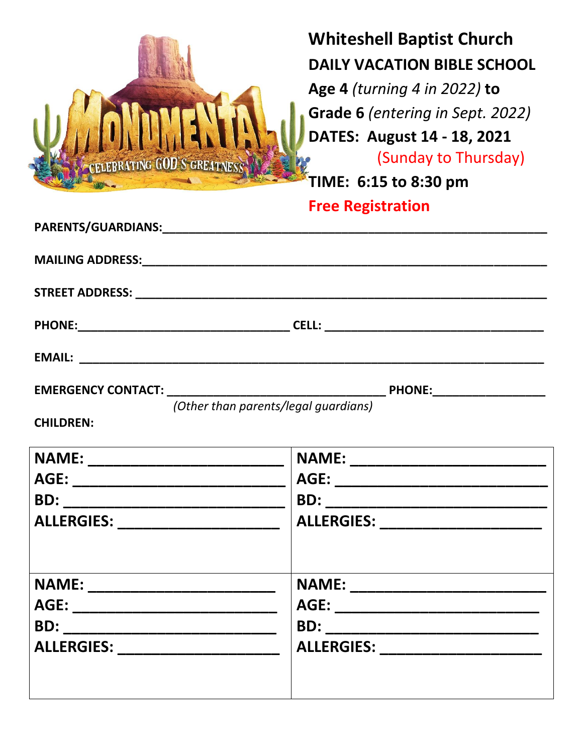

## **Whiteshell Baptist Church DAILY VACATION BIBLE SCHOOL Age 4** *(turning 4 in 2022)* **to Grade 6** *(entering in Sept. 2022)*  **DATES: August 14 - 18, 2021 ELEBRATING GOD'S GREATINESS AND SERVICE CONSUMING CODY TIME: 6:15 to 8:30 pm**

## **Free Registration**

| (Other than parents/legal quardians)<br><b>CHILDREN:</b>                         |                                    |
|----------------------------------------------------------------------------------|------------------------------------|
| ALLERGIES: ___________________________   ALLERGIES: ____________________________ |                                    |
| NAME: ___________________________<br>ALLERGIES: _______________________          | ALLERGIES: _______________________ |